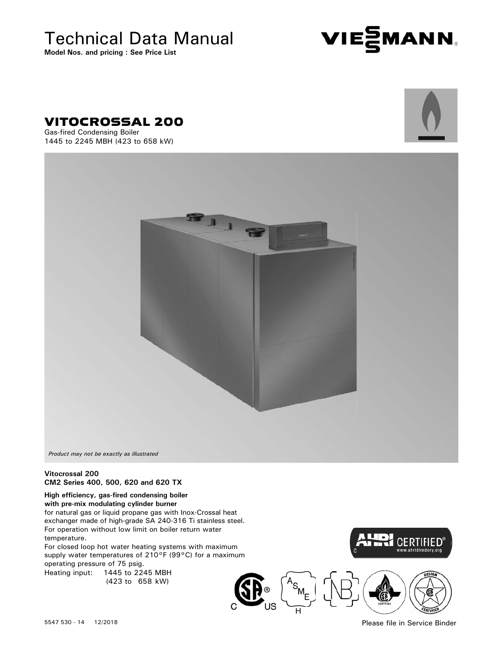Technical Data Manual

**Model Nos. and pricing : See Price List**







Gas-fired Condensing Boiler 1445 to 2245 MBH (423 to 658 kW)



*Product may not be exactly as illustrated*

#### **Vitocrossal 200 CM2 Series 400, 500, 620 and 620 TX**

#### **High efficiency, gas-fired condensing boiler with pre-mix modulating cylinder burner**

for natural gas or liquid propane gas with Inox-Crossal heat exchanger made of high-grade SA 240-316 Ti stainless steel. For operation without low limit on boiler return water temperature.

For closed loop hot water heating systems with maximum supply water temperatures of 210°F (99°C) for a maximum operating pressure of 75 psig.

Heating input: 1445 to 2245 MBH (423 to 658 kW)





Please file in Service Binder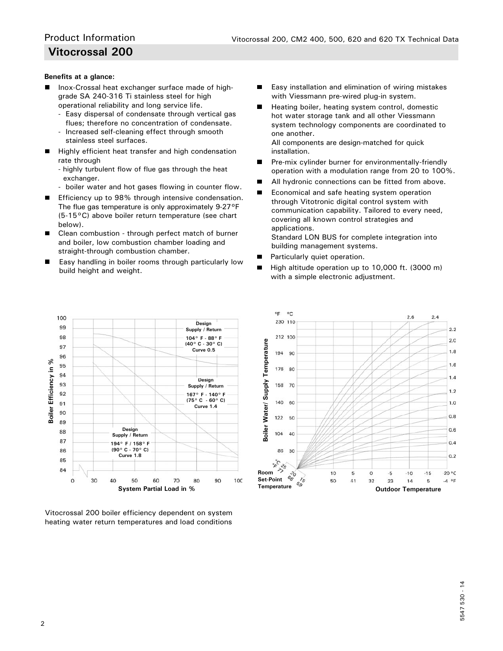#### **Benefits at a glance:**

- Inox-Crossal heat exchanger surface made of high grade SA 240-316 Ti stainless steel for high operational reliability and long service life.
	- Easy dispersal of condensate through vertical gas flues; therefore no concentration of condensate.
	- Increased self-cleaning effect through smooth stainless steel surfaces.
- $\blacksquare$  Highly efficient heat transfer and high condensation rate through
	- highly turbulent flow of flue gas through the heat exchanger.
	- boiler water and hot gases flowing in counter flow.
- Efficiency up to 98% through intensive condensation. The flue gas temperature is only approximately 9-27°F (5-15°C) above boiler return temperature (see chart below).
- Clean combustion through perfect match of burner and boiler, low combustion chamber loading and straight-through combustion chamber.
- Easy handling in boiler rooms through particularly low build height and weight.
- Easy installation and elimination of wiring mistakes п with Viessmann pre-wired plug-in system.
- п Heating boiler, heating system control, domestic hot water storage tank and all other Viessmann system technology components are coordinated to one another.

 All components are design-matched for quick installation.

- Pre-mix cylinder burner for environmentally-friendly ш operation with a modulation range from 20 to 100%.
- All hydronic connections can be fitted from above.
- п Economical and safe heating system operation through Vitotronic digital control system with communication capability. Tailored to every need, covering all known control strategies and applications.

 Standard LON BUS for complete integration into building management systems.

- Particularly quiet operation. п
- High altitude operation up to 10,000 ft. (3000 m) п with a simple electronic adjustment.



Vitocrossal 200 boiler efficiency dependent on system

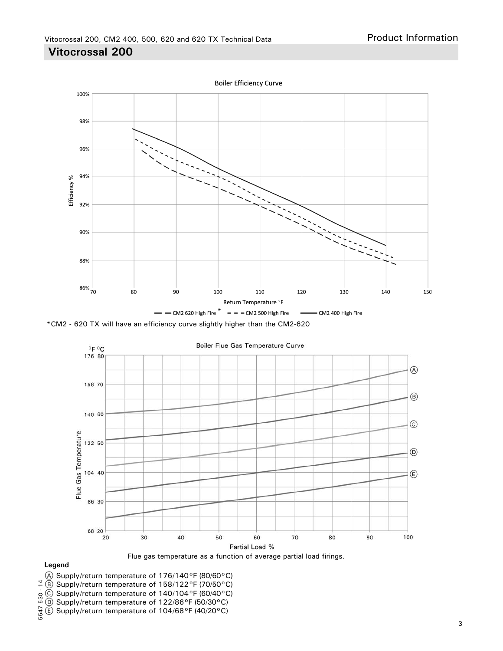**Boiler Efficiency Curve** 100% 98% 96% 94% Efficiency % 92% 90% 88%  $86%$ <sub>70</sub> 80 90 100 110 120 130 140 150 Return Temperature °F  $-$  - CM2 620 High Fire  $*$  -  $-$  - CM2 500 High Fire - CM2 400 High Fire \*CM2 - 620 TX will have an efficiency curve slightly higher than the CM2-620





#### **Legend**

- A Supply/return temperature of 176/140°F (80/60°C)
- $(B)$  Supply/return temperature of 158/122°F (70/50°C)
- C Supply/return temperature of 140/104°F (60/40°C)
- D Supply/return temperature of 122/86°F (50/30°C)
- $E$  Supply/return temperature of 104/68°F (40/20°C)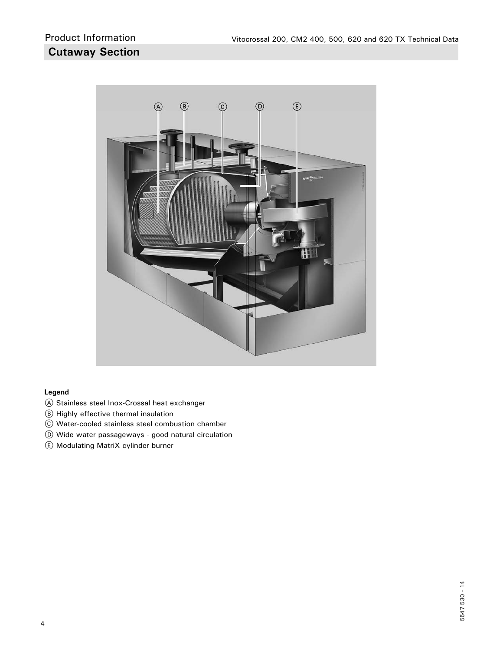

#### **Legend**

- A Stainless steel Inox-Crossal heat exchanger
- B Highly effective thermal insulation
- C Water-cooled stainless steel combustion chamber
- D Wide water passageways good natural circulation
- E Modulating MatriX cylinder burner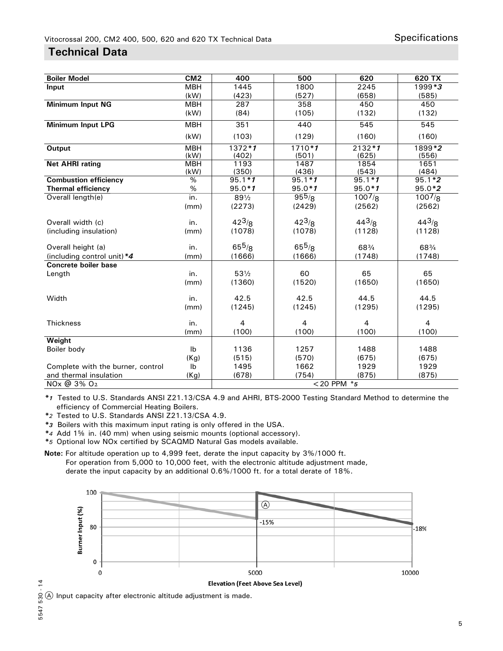## **Technical Data**

| <b>Boiler Model</b>               | CM <sub>2</sub>    | 400              | 500            | 620           | 620 TX         |
|-----------------------------------|--------------------|------------------|----------------|---------------|----------------|
| Input                             | <b>MBH</b>         | 1445             | 1800           | 2245          | 1999*3         |
|                                   | (kW)               | (423)            | (527)          | (658)         | (585)          |
| <b>Minimum Input NG</b>           | <b>MBH</b>         | 287              | 358            | 450           | 450            |
|                                   | (kW)               | (84)             | (105)          | (132)         | (132)          |
| <b>Minimum Input LPG</b>          | <b>MBH</b>         | 351              | 440            | 545           | 545            |
|                                   | (kW)               | (103)            | (129)          | (160)         | (160)          |
| Output                            | <b>MBH</b>         | $1372 * 1$       | $1710 * 1$     | $2132 * 1$    | 1899*2         |
|                                   | (kW)               | (402)            | (501)          | (625)         | (556)          |
| <b>Net AHRI rating</b>            | <b>MBH</b><br>(kW) | 1193<br>(350)    | 1487<br>(436)  | 1854<br>(543) | 1651<br>(484)  |
| <b>Combustion efficiency</b>      | %                  | $95.1 * 1$       | $95.1 * 1$     | $95.1 * 1$    | $95.1*2$       |
| <b>Thermal efficiency</b>         | %                  | $95.0 * 1$       | $95.0 * 1$     | $95.0 * 1$    | $95.0*2$       |
| Overall length(e)                 | in.                | $89\frac{1}{2}$  | $95^{5}/8$     | $100^{7}/8$   | $100^{7}/8$    |
|                                   | (mm)               | (2273)           | (2429)         | (2562)        | (2562)         |
| Overall width (c)                 | in.                | $42^{3}/8$       | $42^{3}/8$     | 443/8         | 443/8          |
| (including insulation)            | (mm)               | (1078)           | (1078)         | (1128)        | (1128)         |
| Overall height (a)                | in.                | $65^{5}/8$       | $65^{5}/8$     | 683/4         | 68%            |
| (including control unit) *4       | (mm)               | (1666)           | (1666)         | (1748)        | (1748)         |
| <b>Concrete boiler base</b>       |                    |                  |                |               |                |
| Length                            | in.                | $53\frac{1}{2}$  | 60             | 65            | 65             |
|                                   | (mm)               | (1360)           | (1520)         | (1650)        | (1650)         |
| Width                             | in.                | 42.5             | 42.5           | 44.5          | 44.5           |
|                                   | (mm)               | (1245)           | (1245)         | (1295)        | (1295)         |
| <b>Thickness</b>                  | in.                | $\overline{4}$   | $\overline{4}$ | 4             | $\overline{4}$ |
|                                   | (mm)               | (100)            | (100)          | (100)         | (100)          |
| Weight                            |                    |                  |                |               |                |
| Boiler body                       | Ib                 | 1136             | 1257           | 1488          | 1488           |
|                                   | (Kg)               | (515)            | (570)          | (675)         | (675)          |
| Complete with the burner, control | Ib                 | 1495             | 1662           | 1929          | 1929           |
| and thermal insulation            | (Kg)               | (678)            | (754)          | (875)         | (875)          |
| NOx @ 3% O <sub>2</sub>           |                    | $<$ 20 PPM $*$ 5 |                |               |                |

*\*1* Tested to U.S. Standards ANSI Z21.13/CSA 4.9 and AHRI, BTS-2000 Testing Standard Method to determine the efficiency of Commercial Heating Boilers.

*\*2* Tested to U.S. Standards ANSI Z21.13/CSA 4.9.

*\*3* Boilers with this maximum input rating is only offered in the USA.

*\*4* Add 1% in. (40 mm) when using seismic mounts (optional accessory).

*\*5* Optional low NOx certified by SCAQMD Natural Gas models available.

**Note:** For altitude operation up to 4,999 feet, derate the input capacity by 3%/1000 ft. For operation from 5,000 to 10,000 feet, with the electronic altitude adjustment made, derate the input capacity by an additional 0.6%/1000 ft. for a total derate of 18%.



 $-14$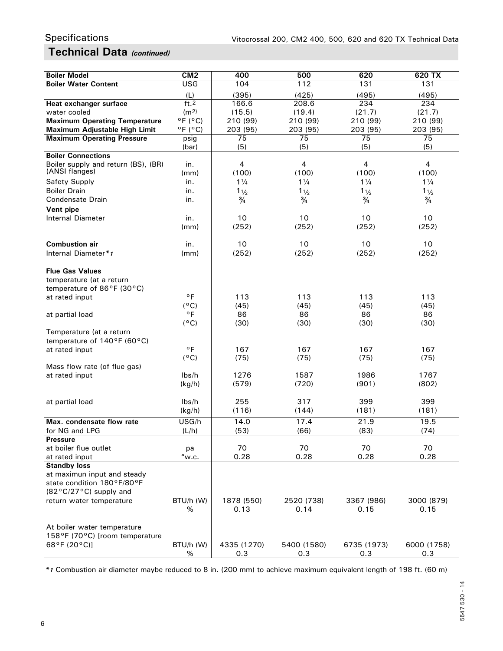## **Technical Data** *(continued)*

| <b>Boiler Model</b>                                | CM <sub>2</sub>              | 400                | 500                | 620                | 620 TX             |
|----------------------------------------------------|------------------------------|--------------------|--------------------|--------------------|--------------------|
| <b>Boiler Water Content</b>                        | <b>USG</b>                   | 104                | 112                | 131                | 131                |
|                                                    | (L)                          | (395)              | (425)              | (495)              | (495)              |
| Heat exchanger surface                             | ft <sub>2</sub>              | 166.6              | 208.6              | 234                | 234                |
| water cooled                                       | (m <sup>2</sup> )            | (15.5)             | (19.4)             | (21.7)             | (21.7)             |
| <b>Maximum Operating Temperature</b>               | $^{\circ}$ F ( $^{\circ}$ C) | 210 (99)           | 210 (99)           | 210 (99)           | 210 (99)           |
| Maximum Adjustable High Limit                      | $^{\circ}$ F ( $^{\circ}$ C) | 203 (95)           | 203 (95)           | 203 (95)           | 203 (95)           |
| <b>Maximum Operating Pressure</b>                  | psig                         | 75                 | 75                 | 75                 | 75                 |
| <b>Boiler Connections</b>                          | (bar)                        | (5)                | (5)                | (5)                | (5)                |
| Boiler supply and return (BS), (BR)                | in.                          | $\overline{4}$     | $\overline{4}$     | 4                  | 4                  |
| (ANSI flanges)                                     | (mm)                         | (100)              | (100)              | (100)              | (100)              |
| <b>Safety Supply</b>                               | in.                          | $1\frac{1}{4}$     | $1\frac{1}{4}$     | $1\frac{1}{4}$     | $1\frac{1}{4}$     |
| <b>Boiler Drain</b>                                | in.                          | 11/2               | $1\frac{1}{2}$     | $1\frac{1}{2}$     | 11/2               |
| Condensate Drain                                   | in.                          | $\frac{3}{4}$      | $\frac{3}{4}$      | $\frac{3}{4}$      | $\frac{3}{4}$      |
| Vent pipe                                          |                              |                    |                    |                    |                    |
| <b>Internal Diameter</b>                           | in.                          | 10                 | 10                 | 10                 | 10                 |
|                                                    | (mm)                         | (252)              | (252)              | (252)              | (252)              |
|                                                    |                              |                    |                    |                    |                    |
| <b>Combustion air</b>                              | in.                          | 10                 | 10                 | 10                 | 10                 |
| Internal Diameter*1                                | (mm)                         | (252)              | (252)              | (252)              | (252)              |
|                                                    |                              |                    |                    |                    |                    |
| <b>Flue Gas Values</b><br>temperature (at a return |                              |                    |                    |                    |                    |
| temperature of 86°F (30°C)                         |                              |                    |                    |                    |                    |
| at rated input                                     | $^{\circ}$ F                 | 113                | 113                | 113                | 113                |
|                                                    | $(^{\circ}C)$                | (45)               | (45)               | (45)               | (45)               |
| at partial load                                    | $^{\circ}$ F                 | 86                 | 86                 | 86                 | 86                 |
|                                                    | $(^{\circ}C)$                | (30)               | (30)               | (30)               | (30)               |
| Temperature (at a return                           |                              |                    |                    |                    |                    |
| temperature of 140°F (60°C)                        |                              |                    |                    |                    |                    |
| at rated input                                     | $^{\circ}$ F                 | 167                | 167                | 167                | 167                |
|                                                    | $(^{\circ}C)$                | (75)               | (75)               | (75)               | (75)               |
| Mass flow rate (of flue gas)                       |                              |                    |                    |                    |                    |
| at rated input                                     | lbs/h                        | 1276               | 1587               | 1986               | 1767               |
|                                                    | (kg/h)                       | (579)              | (720)              | (901)              | (802)              |
| at partial load                                    | lbs/h                        | 255                | 317                | 399                | 399                |
|                                                    | (kg/h)                       | (116)              | (144)              | (181)              | (181)              |
| Max. condensate flow rate                          |                              |                    |                    |                    |                    |
| for NG and LPG                                     | USG/h<br>(L/h)               | 14.0<br>(53)       | 17.4<br>(66)       | 21.9<br>(83)       | 19.5<br>(74)       |
| <b>Pressure</b>                                    |                              |                    |                    |                    |                    |
| at boiler flue outlet                              | рa                           | 70                 | 70                 | 70                 | 70                 |
| at rated input                                     | "w.c.                        | 0.28               | 0.28               | 0.28               | 0.28               |
| <b>Standby loss</b>                                |                              |                    |                    |                    |                    |
| at maximun input and steady                        |                              |                    |                    |                    |                    |
| state condition 180°F/80°F                         |                              |                    |                    |                    |                    |
| (82°C/27°C) supply and                             |                              |                    |                    |                    |                    |
| return water temperature                           | BTU/h (W)                    | 1878 (550)         | 2520 (738)         | 3367 (986)         | 3000 (879)         |
|                                                    | %                            | 0.13               | 0.14               | 0.15               | 0.15               |
|                                                    |                              |                    |                    |                    |                    |
| At boiler water temperature                        |                              |                    |                    |                    |                    |
| 158°F (70°C) [room temperature<br>68°F (20°C)]     |                              |                    |                    |                    |                    |
|                                                    | BTU/h (W)<br>%               | 4335 (1270)<br>0.3 | 5400 (1580)<br>0.3 | 6735 (1973)<br>0.3 | 6000 (1758)<br>0.3 |

*\*1* Combustion air diameter maybe reduced to 8 in. (200 mm) to achieve maximum equivalent length of 198 ft. (60 m)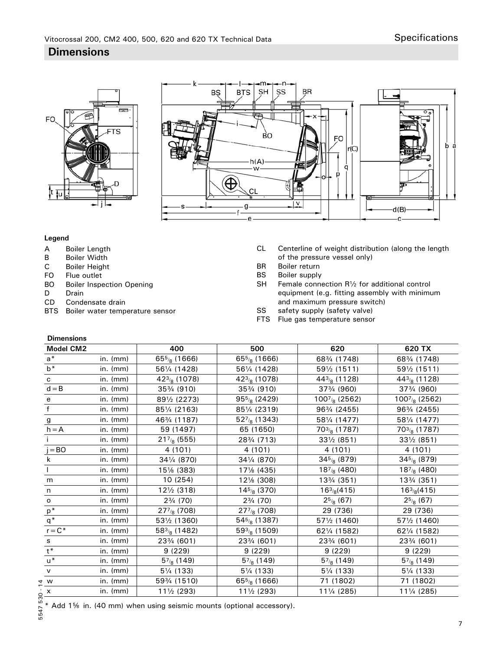# $\equiv$ F<sub>O</sub> ΓS ¦t ‡u



#### **Legend**

- A Boiler Length<br>B Boiler Width
- **Boiler Width**
- C Boiler Height<br>FO Flue outlet
- Flue outlet
- BO Boiler Inspection Opening<br>D Drain
- Drain
- CD Condensate drain
- BTS Boiler water temperature sensor
- CL Centerline of weight distribution (along the length of the pressure vessel only)<br>BR Boiler return
- Boiler return
- BS Boiler supply
- $SH$  Female connection R<sup>1</sup>/<sub>2</sub> for additional control equipment (e.g. fitting assembly with minimum and maximum pressure switch)
- SS safety supply (safety valve)
- FTS Flue gas temperature sensor

| <b>Dimensions</b> |                |                         |                         |                                      |                                 |
|-------------------|----------------|-------------------------|-------------------------|--------------------------------------|---------------------------------|
| Model CM2         |                | 400                     | 500                     | 620                                  | 620 TX                          |
| $a^*$             | in. (mm)       | $655$ (1666)            | $655$ (1666)            | 683/4 (1748)                         | 683/4 (1748)                    |
| $b^*$             | in. (mm)       | 561/4 (1428)            | 561/4 (1428)            | 591/2 (1511)                         | 591/2 (1511)                    |
| c                 | in. (mm)       | 423/8 (1078)            | 423/8 (1078)            | $443/8$ (1128)                       | $443/8$ (1128)                  |
| $d = B$           | in. (mm)       | 353/4 (910)             | 353/4 (910)             | 373/4 (960)                          | 373/4 (960)                     |
| e                 | $in.$ ( $mm$ ) | 891/2 (2273)            | $955$ (2429)            | $100^{7}$ / <sub>8</sub> (2562)      | $100^{7}$ / <sub>8</sub> (2562) |
| $\mathbf{f}$      | in. $(mm)$     | 851/4 (2163)            | 851/4 (2319)            | 963/4 (2455)                         | 963/4 (2455)                    |
| g                 | in. $(mm)$     | 463/4 (1187)            | $527/8$ (1343)          | 581/4 (1477)                         | 581/4 (1477)                    |
| $h = A$           | in. (mm)       | 59 (1497)               | 65 (1650)               | $703/8$ (1787)                       | $703/8$ (1787)                  |
|                   | in. $(mm)$     | $217_{8}$ (555)         | 283/4 (713)             | $33\frac{1}{2}$ (851)                | $33\frac{1}{2}$ (851)           |
| $j = BO$          | in. (mm)       | 4 (101)                 | 4 (101)                 | 4 (101)                              | 4 (101)                         |
| k                 | in. (mm)       | 341/4 (870)             | 341/4 (870)             | $345/8$ (879)                        | $345/8$ (879)                   |
|                   | in. $(mm)$     | 151/ <sub>8</sub> (383) | 171/ <sub>8</sub> (435) | $187_{8}$ (480)                      | $187_{8}$ (480)                 |
| m                 | $in.$ ( $mm$ ) | 10 (254)                | 12% (308)               | 133/4 (351)                          | 133/4 (351)                     |
| n                 | $in.$ ( $mm$ ) | $12\frac{1}{2}$ (318)   | $145/8$ (370)           | $16\frac{3}{8}(415)$                 | $16\frac{3}{8}(415)$            |
| o                 | in. $(mm)$     | $2\frac{3}{4}$ (70)     | $2\frac{3}{4}$ (70)     | $2^{5/8}$ (67)                       | $2^{5/8}$ (67)                  |
| $\mathsf{p}^*$    | in. $(mm)$     | $277/8$ (708)           | $277/8$ (708)           | 29 (736)                             | 29 (736)                        |
| $q^*$             | in. $(mm)$     | 531/2 (1360)            | $545/8$ (1387)          | 571/2 (1460)                         | 571/2 (1460)                    |
| $r = C^*$         | in. (mm)       | $583/8$ (1482)          | $593$ (1509)            | 621/4 (1582)                         | 621/4 (1582)                    |
| s                 | in. (mm)       | 233/4 (601)             | 233/4 (601)             | 23 <sup>3</sup> / <sub>4</sub> (601) | 23% (601)                       |
| $t^*$             | in. (mm)       | 9(229)                  | 9(229)                  | 9(229)                               | 9(229)                          |
| $u^*$             | in. $(mm)$     | $5^{7}_{8}$ (149)       | $5^{7}_{8}$ (149)       | $5^{7}_{8}$ (149)                    | $5^{7}_{8}$ (149)               |
| $\mathsf{v}$      | in. (mm)       | 51/4 (133)              | 51/4 (133)              | 51/4 (133)                           | 51/4 (133)                      |
| W                 | in. $(mm)$     | 593/4 (1510)            | $655$ (1666)            | 71 (1802)                            | 71 (1802)                       |
| X                 | in. $(mm)$     | 111/2 (293)             | 111/2 (293)             | 111/4 (285)                          | 111/4 (285)                     |

\* Add 1% in. (40 mm) when using seismic mounts (optional accessory).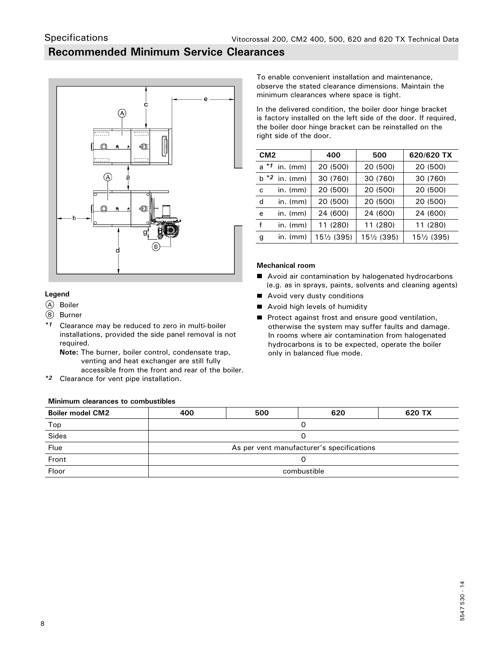## **Recommended Minimum Service Clearances**



**Legend**

A Boiler

Specifications

- (B) Burner
- *\*1* Clearance may be reduced to zero in multi-boiler installations, provided the side panel removal is not required.
	- **Note:** The burner, boiler control, condensate trap, venting and heat exchanger are still fully accessible from the front and rear of the boiler.
- *\*2* Clearance for vent pipe installation.

#### **Minimum clearances to combustibles**

To enable convenient installation and maintenance, observe the stated clearance dimensions. Maintain the minimum clearances where space is tight.

In the delivered condition, the boiler door hinge bracket is factory installed on the left side of the door. If required, the boiler door hinge bracket can be reinstalled on the right side of the door.

| CM <sub>2</sub> |                  | 400                   | 500         | 620/620 TX  |
|-----------------|------------------|-----------------------|-------------|-------------|
|                 | $a * 1$ in. (mm) | 20 (500)              | 20 (500)    | 20 (500)    |
|                 | $b *2$ in. (mm)  | 30 (760)              | 30 (760)    | 30 (760)    |
| C               | $in.$ ( $mm$ )   | 20 (500)              | 20 (500)    | 20 (500)    |
| d               | $in.$ ( $mm$ )   | 20 (500)              | 20 (500)    | 20 (500)    |
| е               | $in.$ ( $mm$ )   | 24 (600)              | 24 (600)    | 24 (600)    |
| f               | $in.$ (mm)       | 11 (280)              | 11 (280)    | 11 (280)    |
| g               | $in.$ (mm)       | $15\frac{1}{2}$ (395) | 151/2 (395) | 151/2 (395) |

#### **Mechanical room**

- Avoid air contamination by halogenated hydrocarbons (e.g. as in sprays, paints, solvents and cleaning agents)
- Avoid very dusty conditions
- Avoid high levels of humidity
- Protect against frost and ensure good ventilation, otherwise the system may suffer faults and damage. In rooms where air contamination from halogenated hydrocarbons is to be expected, operate the boiler only in balanced flue mode.

| <b>Boiler model CM2</b> | 400                                       | 500 | 620 | 620 TX |  |
|-------------------------|-------------------------------------------|-----|-----|--------|--|
| Top                     |                                           |     |     |        |  |
| Sides                   |                                           |     |     |        |  |
| Flue                    | As per vent manufacturer's specifications |     |     |        |  |
| Front                   |                                           |     |     |        |  |
| Floor                   | combustible                               |     |     |        |  |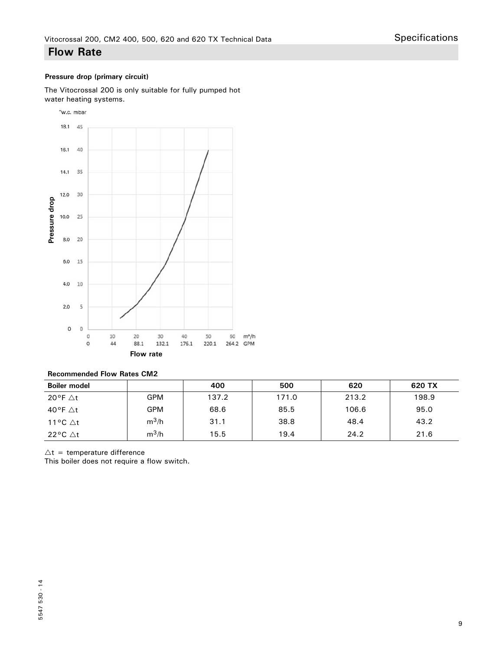## **Flow Rate**

#### **Pressure drop (primary circuit)**

The Vitocrossal 200 is only suitable for fully pumped hot water heating systems.



#### **Recommended Flow Rates CM2**

| <b>Boiler model</b> |         | 400   | 500   | 620   | 620 TX |
|---------------------|---------|-------|-------|-------|--------|
| 20°F $\Delta t$     | GPM     | 137.2 | 171.0 | 213.2 | 198.9  |
| 40°F $\triangle$ t  | GPM     | 68.6  | 85.5  | 106.6 | 95.0   |
| 11 °C $\Delta t$    | $m^3/h$ | 31.1  | 38.8  | 48.4  | 43.2   |
| 22°C $\triangle$ t  | $m^3/h$ | 15.5  | 19.4  | 24.2  | 21.6   |

 $\Delta t$  = temperature difference<br>This boiler does not require a flow switch.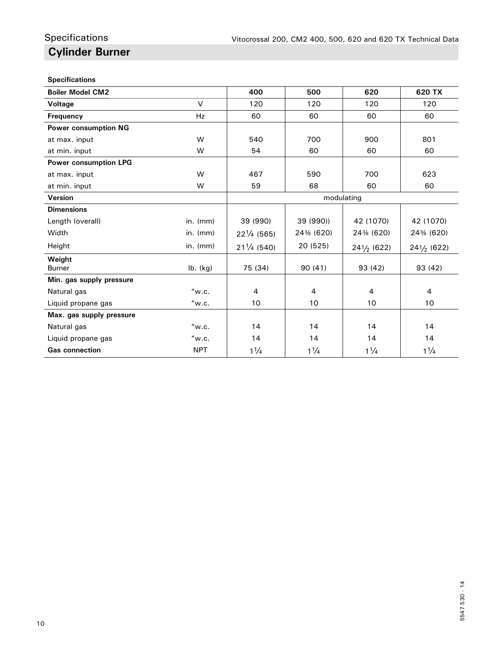## **Cylinder Burner** Specifications

#### **Specifications**

| <b>Boiler Model CM2</b>      |                | 400                   | 500            | 620                   | 620 TX                  |
|------------------------------|----------------|-----------------------|----------------|-----------------------|-------------------------|
| Voltage                      | V              | 120                   | 120            | 120                   | 120                     |
| <b>Frequency</b>             | <b>Hz</b>      | 60                    | 60             | 60                    | 60                      |
| <b>Power consumption NG</b>  |                |                       |                |                       |                         |
| at max. input                | W              | 540                   | 700            | 900                   | 801                     |
| at min. input                | W              | 54                    | 60             | 60                    | 60                      |
| <b>Power consumption LPG</b> |                |                       |                |                       |                         |
| at max. input                | W              | 467                   | 590            | 700                   | 623                     |
| at min. input                | W              | 59                    | 68             | 60                    | 60                      |
| Version                      |                | modulating            |                |                       |                         |
| <b>Dimensions</b>            |                |                       |                |                       |                         |
| Length (overall)             | in. $(mm)$     | 39 (990)              | 39 (990))      | 42 (1070)             | 42 (1070)               |
| Width                        | $in.$ ( $mm$ ) | $22\frac{1}{4}$ (565) | 24% (620)      | 24% (620)             | 24% (620)               |
| Height                       | in. $(mm)$     | $21\frac{1}{4}$ (540) | 20 (525)       | $24\frac{1}{2}$ (622) | 241/ <sub>2</sub> (622) |
| Weight<br><b>Burner</b>      |                | 75 (34)               | 90(41)         | 93 (42)               | 93 (42)                 |
|                              | $lb.$ (kg)     |                       |                |                       |                         |
| Min. gas supply pressure     |                |                       |                |                       |                         |
| Natural gas                  | "w.c.          | 4                     | 4              | $\overline{4}$        | $\overline{4}$          |
| Liquid propane gas           | "w.c.          | 10                    | 10             | 10                    | 10                      |
| Max. gas supply pressure     |                |                       |                |                       |                         |
| Natural gas                  | "w.c.          | 14                    | 14             | 14                    | 14                      |
| Liquid propane gas           | "w.c.          | 14                    | 14             | 14                    | 14                      |
| <b>Gas connection</b>        | <b>NPT</b>     | $1\frac{1}{4}$        | $1\frac{1}{4}$ | $1\frac{1}{4}$        | $1\frac{1}{4}$          |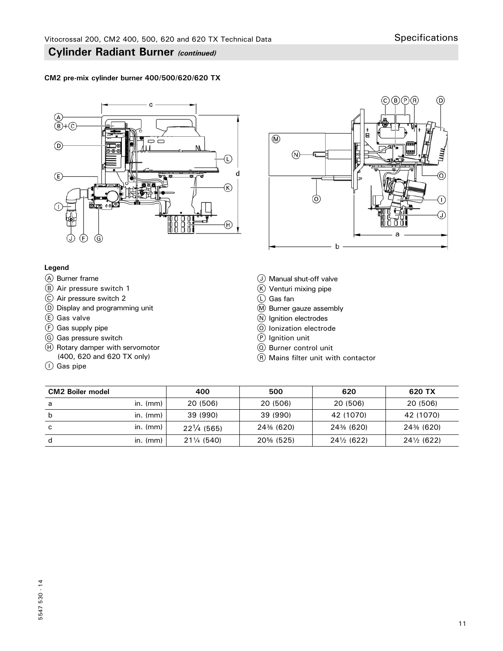#### **CM2 pre-mix cylinder burner 400/500/620/620 TX**





#### **Legend**

- A Burner frame
- B Air pressure switch 1
- C Air pressure switch 2
- D Display and programming unit
- $(E)$  Gas valve
- $\circled{F}$  Gas supply pipe
- G Gas pressure switch
- $H$  Rotary damper with servomotor (400, 620 and 620 TX only)
- I Gas pipe
- J Manual shut-off valve
- $(\mathbb{K})$  Venturi mixing pipe
- L Gas fan
- M Burner gauze assembly
- N Ignition electrodes
- O Ionization electrode
- P Ignition unit
- Q Burner control unit
- R Mains filter unit with contactor

| <b>CM2 Boiler model</b> |            | 400                   | 500       | 620                   | 620 TX                |
|-------------------------|------------|-----------------------|-----------|-----------------------|-----------------------|
| a                       | in. $(mm)$ | 20 (506)              | 20 (506)  | 20 (506)              | 20 (506)              |
| b                       | in. (mm)   | 39 (990)              | 39 (990)  | 42 (1070)             | 42 (1070)             |
| C                       | in. (mm)   | $22\frac{1}{4}$ (565) | 24% (620) | 24% (620)             | 24% (620)             |
| d                       | in. $(mm)$ | 211/4 (540)           | 20% (525) | $24\frac{1}{2}$ (622) | $24\frac{1}{2}$ (622) |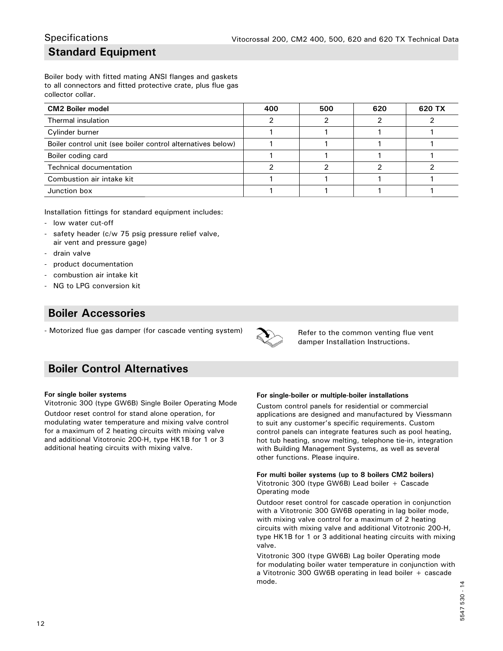## **Standard Equipment Specifications**

Boiler body with fitted mating ANSI flanges and gaskets to all connectors and fitted protective crate, plus flue gas collector collar.

| <b>CM2 Boiler model</b>                                     | 400 | 500 | 620 | 620 TX |
|-------------------------------------------------------------|-----|-----|-----|--------|
| Thermal insulation                                          |     |     |     |        |
| Cylinder burner                                             |     |     |     |        |
| Boiler control unit (see boiler control alternatives below) |     |     |     |        |
| Boiler coding card                                          |     |     |     |        |
| <b>Technical documentation</b>                              |     |     |     |        |
| Combustion air intake kit                                   |     |     |     |        |
| Junction box                                                |     |     |     |        |

Installation fittings for standard equipment includes:

- low water cut-off
- safety header (c/w 75 psig pressure relief valve, air vent and pressure gage)
- drain valve
- product documentation
- combustion air intake kit
- NG to LPG conversion kit

## **Boiler Accessories**

- Motorized flue gas damper (for cascade venting system)



Refer to the common venting flue vent damper Installation Instructions.

## **Boiler Control Alternatives**

#### **For single boiler systems**

Vitotronic 300 (type GW6B) Single Boiler Operating Mode Outdoor reset control for stand alone operation, for modulating water temperature and mixing valve control for a maximum of 2 heating circuits with mixing valve and additional Vitotronic 200-H, type HK1B for 1 or 3 additional heating circuits with mixing valve.

#### **For single-boiler or multiple-boiler installations**

Custom control panels for residential or commercial applications are designed and manufactured by Viessmann to suit any customer's specific requirements. Custom control panels can integrate features such as pool heating, hot tub heating, snow melting, telephone tie-in, integration with Building Management Systems, as well as several other functions. Please inquire.

**For multi boiler systems (up to 8 boilers CM2 boilers)** Vitotronic 300 (type GW6B) Lead boiler + Cascade Operating mode

Outdoor reset control for cascade operation in conjunction with a Vitotronic 300 GW6B operating in lag boiler mode, with mixing valve control for a maximum of 2 heating circuits with mixing valve and additional Vitotronic 200-H, type HK1B for 1 or 3 additional heating circuits with mixing valve.

Vitotronic 300 (type GW6B) Lag boiler Operating mode for modulating boiler water temperature in conjunction with a Vitotronic 300 GW6B operating in lead boiler + cascade mode.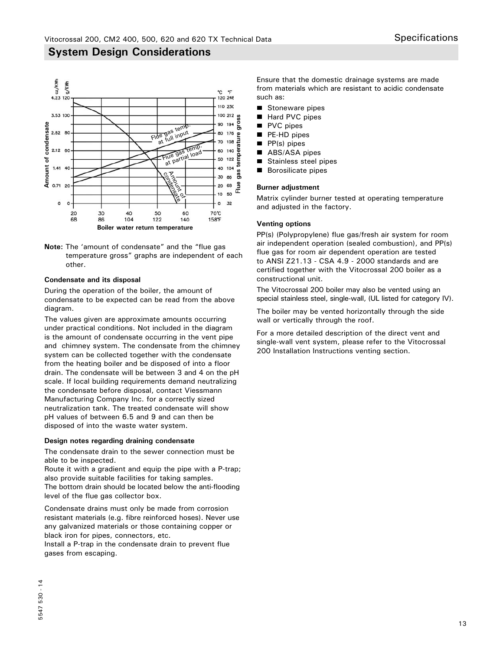

**Note:** The 'amount of condensate" and the "flue gas temperature gross" graphs are independent of each other.

#### **Condensate and its disposal**

During the operation of the boiler, the amount of condensate to be expected can be read from the above diagram.

The values given are approximate amounts occurring under practical conditions. Not included in the diagram is the amount of condensate occurring in the vent pipe and chimney system. The condensate from the chimney system can be collected together with the condensate from the heating boiler and be disposed of into a floor drain. The condensate will be between 3 and 4 on the pH scale. If local building requirements demand neutralizing the condensate before disposal, contact Viessmann Manufacturing Company Inc. for a correctly sized neutralization tank. The treated condensate will show pH values of between 6.5 and 9 and can then be disposed of into the waste water system.

#### **Design notes regarding draining condensate**

The condensate drain to the sewer connection must be able to be inspected.

Route it with a gradient and equip the pipe with a P-trap; also provide suitable facilities for taking samples. The bottom drain should be located below the anti-flooding level of the flue gas collector box.

Condensate drains must only be made from corrosion resistant materials (e.g. fibre reinforced hoses). Never use any galvanized materials or those containing copper or black iron for pipes, connectors, etc.

Install a P-trap in the condensate drain to prevent flue gases from escaping.

Ensure that the domestic drainage systems are made from materials which are resistant to acidic condensate such as:

- Stoneware pipes
- $\blacksquare$ Hard PVC pipes
- $\blacksquare$ PVC pipes
- $\blacksquare$ PE-HD pipes
- п PP(s) pipes
- $\blacksquare$ ABS/ASA pipes
- Stainless steel pipes
- Borosilicate pipes

#### **Burner adjustment**

Matrix cylinder burner tested at operating temperature and adjusted in the factory.

#### **Venting options**

PP(s) (Polypropylene) flue gas/fresh air system for room air independent operation (sealed combustion), and PP(s) flue gas for room air dependent operation are tested to ANSI Z21.13 - CSA 4.9 - 2000 standards and are certified together with the Vitocrossal 200 boiler as a constructional unit.

The Vitocrossal 200 boiler may also be vented using an special stainless steel, single-wall, (UL listed for category IV).

The boiler may be vented horizontally through the side wall or vertically through the roof.

For a more detailed description of the direct vent and single-wall vent system, please refer to the Vitocrossal 200 Installation Instructions venting section.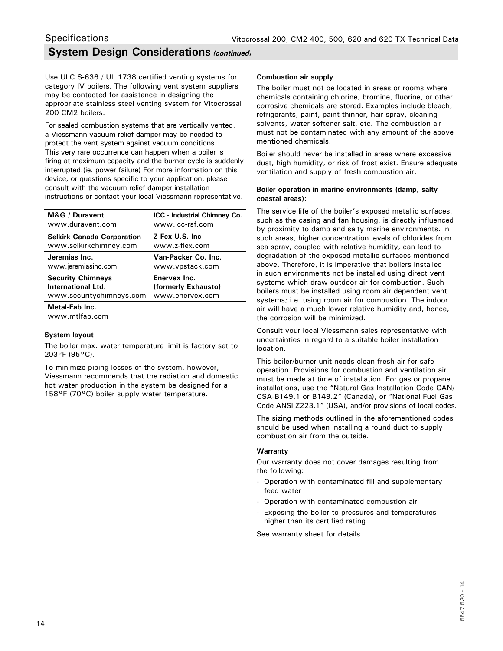## **System Design Considerations** *(continued)* **Specifications**

Use ULC S-636 / UL 1738 certified venting systems for category IV boilers. The following vent system suppliers may be contacted for assistance in designing the appropriate stainless steel venting system for Vitocrossal 200 CM2 boilers.

For sealed combustion systems that are vertically vented, a Viessmann vacuum relief damper may be needed to protect the vent system against vacuum conditions. This very rare occurrence can happen when a boiler is firing at maximum capacity and the burner cycle is suddenly interrupted.(ie. power failure) For more information on this device, or questions specific to your application, please consult with the vacuum relief damper installation instructions or contact your local Viessmann representative.

| M&G / Duravent                    | <b>ICC</b> - Industrial Chimney Co. |
|-----------------------------------|-------------------------------------|
| www.duravent.com                  | www.icc-rsf.com                     |
| <b>Selkirk Canada Corporation</b> | Z-Fex U.S. Inc.                     |
| www.selkirkchimney.com            | www.z-flex.com                      |
| Jeremias Inc.                     | Van-Packer Co. Inc.                 |
| www.jeremiasinc.com               | www.vpstack.com                     |
| <b>Security Chimneys</b>          | Enervex Inc.                        |
| International Ltd.                | (formerly Exhausto)                 |
| www.securitychimneys.com          | www.enervex.com                     |
| Metal-Fab Inc.<br>www.mtlfab.com  |                                     |

#### **System layout**

The boiler max. water temperature limit is factory set to 203°F (95°C).

To minimize piping losses of the system, however, Viessmann recommends that the radiation and domestic hot water production in the system be designed for a 158°F (70°C) boiler supply water temperature.

#### **Combustion air supply**

The boiler must not be located in areas or rooms where chemicals containing chlorine, bromine, fluorine, or other corrosive chemicals are stored. Examples include bleach, refrigerants, paint, paint thinner, hair spray, cleaning solvents, water softener salt, etc. The combustion air must not be contaminated with any amount of the above mentioned chemicals.

Boiler should never be installed in areas where excessive dust, high humidity, or risk of frost exist. Ensure adequate ventilation and supply of fresh combustion air.

#### **Boiler operation in marine environments (damp, salty coastal areas):**

The service life of the boiler's exposed metallic surfaces, such as the casing and fan housing, is directly influenced by proximity to damp and salty marine environments. In such areas, higher concentration levels of chlorides from sea spray, coupled with relative humidity, can lead to degradation of the exposed metallic surfaces mentioned above. Therefore, it is imperative that boilers installed in such environments not be installed using direct vent systems which draw outdoor air for combustion. Such boilers must be installed using room air dependent vent systems; i.e. using room air for combustion. The indoor air will have a much lower relative humidity and, hence, the corrosion will be minimized.

Consult your local Viessmann sales representative with uncertainties in regard to a suitable boiler installation location.

This boiler/burner unit needs clean fresh air for safe operation. Provisions for combustion and ventilation air must be made at time of installation. For gas or propane installations, use the "Natural Gas Installation Code CAN/ CSA-B149.1 or B149.2" (Canada), or "National Fuel Gas Code ANSI Z223.1" (USA), and/or provisions of local codes.

The sizing methods outlined in the aforementioned codes should be used when installing a round duct to supply combustion air from the outside.

#### **Warranty**

Our warranty does not cover damages resulting from the following:

- Operation with contaminated fill and supplementary feed water
- Operation with contaminated combustion air
- Exposing the boiler to pressures and temperatures higher than its certified rating

See warranty sheet for details.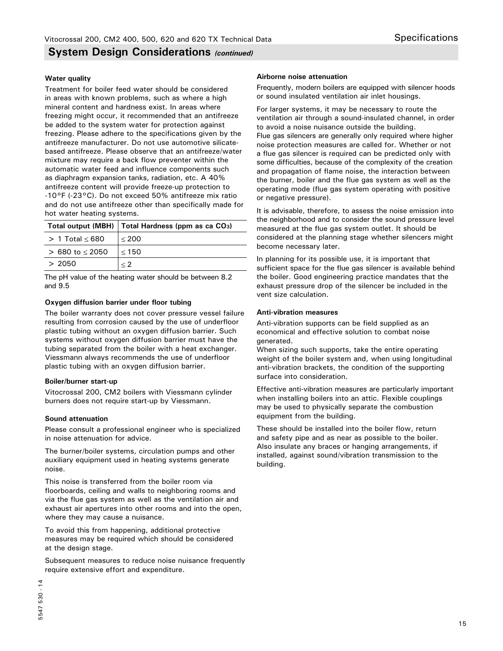### **System Design Considerations** *(continued)*

#### **Water quality**

Treatment for boiler feed water should be considered in areas with known problems, such as where a high mineral content and hardness exist. In areas where freezing might occur, it recommended that an antifreeze be added to the system water for protection against freezing. Please adhere to the specifications given by the antifreeze manufacturer. Do not use automotive silicatebased antifreeze. Please observe that an antifreeze/water mixture may require a back flow preventer within the automatic water feed and influence components such as diaphragm expansion tanks, radiation, etc. A 40% antifreeze content will provide freeze-up protection to -10°F (-23°C). Do not exceed 50% antifreeze mix ratio and do not use antifreeze other than specifically made for hot water heating systems.

|                     | Total output (MBH)   Total Hardness (ppm as ca CO <sub>3</sub> ) |
|---------------------|------------------------------------------------------------------|
| $> 1$ Total $< 680$ | < 200                                                            |
| $> 680$ to $< 2050$ | $<$ 150                                                          |
| > 2050              | $\langle$ 2                                                      |

The pH value of the heating water should be between 8.2 and 9.5

#### **Oxygen diffusion barrier under floor tubing**

The boiler warranty does not cover pressure vessel failure resulting from corrosion caused by the use of underfloor plastic tubing without an oxygen diffusion barrier. Such systems without oxygen diffusion barrier must have the tubing separated from the boiler with a heat exchanger. Viessmann always recommends the use of underfloor plastic tubing with an oxygen diffusion barrier.

#### **Boiler/burner start-up**

Vitocrossal 200, CM2 boilers with Viessmann cylinder burners does not require start-up by Viessmann.

#### **Sound attenuation**

Please consult a professional engineer who is specialized in noise attenuation for advice.

The burner/boiler systems, circulation pumps and other auxiliary equipment used in heating systems generate noise.

This noise is transferred from the boiler room via floorboards, ceiling and walls to neighboring rooms and via the flue gas system as well as the ventilation air and exhaust air apertures into other rooms and into the open, where they may cause a nuisance.

To avoid this from happening, additional protective measures may be required which should be considered at the design stage.

Subsequent measures to reduce noise nuisance frequently require extensive effort and expenditure.

#### **Airborne noise attenuation**

Frequently, modern boilers are equipped with silencer hoods or sound insulated ventilation air inlet housings.

For larger systems, it may be necessary to route the ventilation air through a sound-insulated channel, in order to avoid a noise nuisance outside the building. Flue gas silencers are generally only required where higher noise protection measures are called for. Whether or not a flue gas silencer is required can be predicted only with some difficulties, because of the complexity of the creation and propagation of flame noise, the interaction between the burner, boiler and the flue gas system as well as the operating mode (flue gas system operating with positive or negative pressure).

It is advisable, therefore, to assess the noise emission into the neighborhood and to consider the sound pressure level measured at the flue gas system outlet. It should be considered at the planning stage whether silencers might become necessary later.

In planning for its possible use, it is important that sufficient space for the flue gas silencer is available behind the boiler. Good engineering practice mandates that the exhaust pressure drop of the silencer be included in the vent size calculation.

#### **Anti-vibration measures**

Anti-vibration supports can be field supplied as an economical and effective solution to combat noise generated.

When sizing such supports, take the entire operating weight of the boiler system and, when using longitudinal anti-vibration brackets, the condition of the supporting surface into consideration.

Effective anti-vibration measures are particularly important when installing boilers into an attic. Flexible couplings may be used to physically separate the combustion equipment from the building.

These should be installed into the boiler flow, return and safety pipe and as near as possible to the boiler. Also insulate any braces or hanging arrangements, if installed, against sound/vibration transmission to the building.